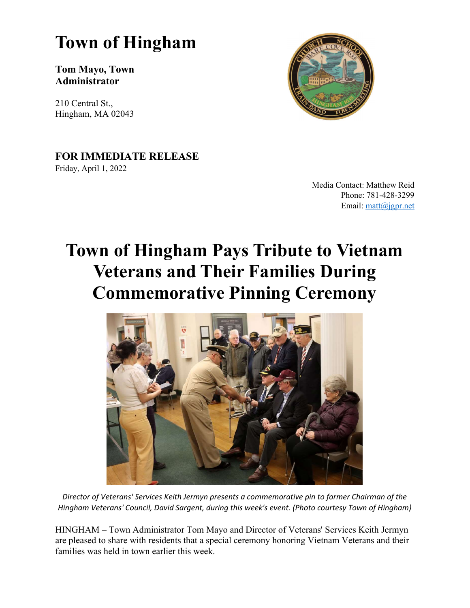## Town of Hingham

#### Tom Mayo, Town Administrator

210 Central St., Hingham, MA 02043



### FOR IMMEDIATE RELEASE

Friday, April 1, 2022

Media Contact: Matthew Reid Phone: 781-428-3299 Email: matt@jgpr.net

# Town of Hingham Pays Tribute to Vietnam Veterans and Their Families During Commemorative Pinning Ceremony



Director of Veterans' Services Keith Jermyn presents a commemorative pin to former Chairman of the Hingham Veterans' Council, David Sargent, during this week's event. (Photo courtesy Town of Hingham)

HINGHAM – Town Administrator Tom Mayo and Director of Veterans' Services Keith Jermyn are pleased to share with residents that a special ceremony honoring Vietnam Veterans and their families was held in town earlier this week.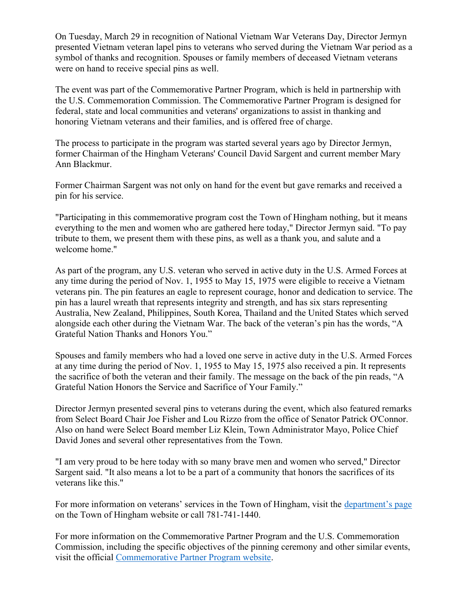On Tuesday, March 29 in recognition of National Vietnam War Veterans Day, Director Jermyn presented Vietnam veteran lapel pins to veterans who served during the Vietnam War period as a symbol of thanks and recognition. Spouses or family members of deceased Vietnam veterans were on hand to receive special pins as well.

The event was part of the Commemorative Partner Program, which is held in partnership with the U.S. Commemoration Commission. The Commemorative Partner Program is designed for federal, state and local communities and veterans' organizations to assist in thanking and honoring Vietnam veterans and their families, and is offered free of charge.

The process to participate in the program was started several years ago by Director Jermyn, former Chairman of the Hingham Veterans' Council David Sargent and current member Mary Ann Blackmur.

Former Chairman Sargent was not only on hand for the event but gave remarks and received a pin for his service.

"Participating in this commemorative program cost the Town of Hingham nothing, but it means everything to the men and women who are gathered here today," Director Jermyn said. "To pay tribute to them, we present them with these pins, as well as a thank you, and salute and a welcome home."

As part of the program, any U.S. veteran who served in active duty in the U.S. Armed Forces at any time during the period of Nov. 1, 1955 to May 15, 1975 were eligible to receive a Vietnam veterans pin. The pin features an eagle to represent courage, honor and dedication to service. The pin has a laurel wreath that represents integrity and strength, and has six stars representing Australia, New Zealand, Philippines, South Korea, Thailand and the United States which served alongside each other during the Vietnam War. The back of the veteran's pin has the words, "A Grateful Nation Thanks and Honors You."

Spouses and family members who had a loved one serve in active duty in the U.S. Armed Forces at any time during the period of Nov. 1, 1955 to May 15, 1975 also received a pin. It represents the sacrifice of both the veteran and their family. The message on the back of the pin reads, "A Grateful Nation Honors the Service and Sacrifice of Your Family."

Director Jermyn presented several pins to veterans during the event, which also featured remarks from Select Board Chair Joe Fisher and Lou Rizzo from the office of Senator Patrick O'Connor. Also on hand were Select Board member Liz Klein, Town Administrator Mayo, Police Chief David Jones and several other representatives from the Town.

"I am very proud to be here today with so many brave men and women who served," Director Sargent said. "It also means a lot to be a part of a community that honors the sacrifices of its veterans like this."

For more information on veterans' services in the Town of Hingham, visit the department's page on the Town of Hingham website or call 781-741-1440.

For more information on the Commemorative Partner Program and the U.S. Commemoration Commission, including the specific objectives of the pinning ceremony and other similar events, visit the official Commemorative Partner Program website.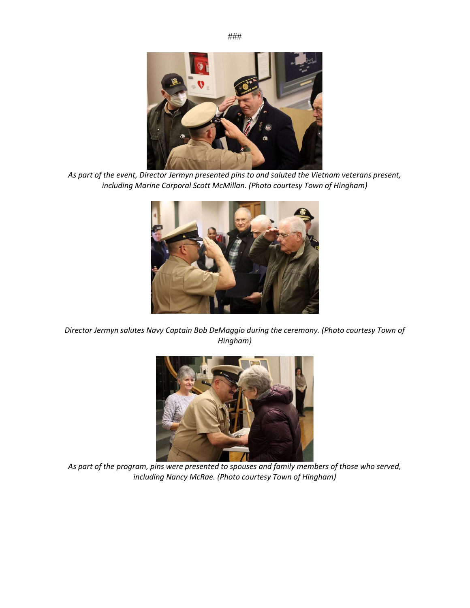

As part of the event, Director Jermyn presented pins to and saluted the Vietnam veterans present, including Marine Corporal Scott McMillan. (Photo courtesy Town of Hingham)



Director Jermyn salutes Navy Captain Bob DeMaggio during the ceremony. (Photo courtesy Town of Hingham)



As part of the program, pins were presented to spouses and family members of those who served, including Nancy McRae. (Photo courtesy Town of Hingham)

###